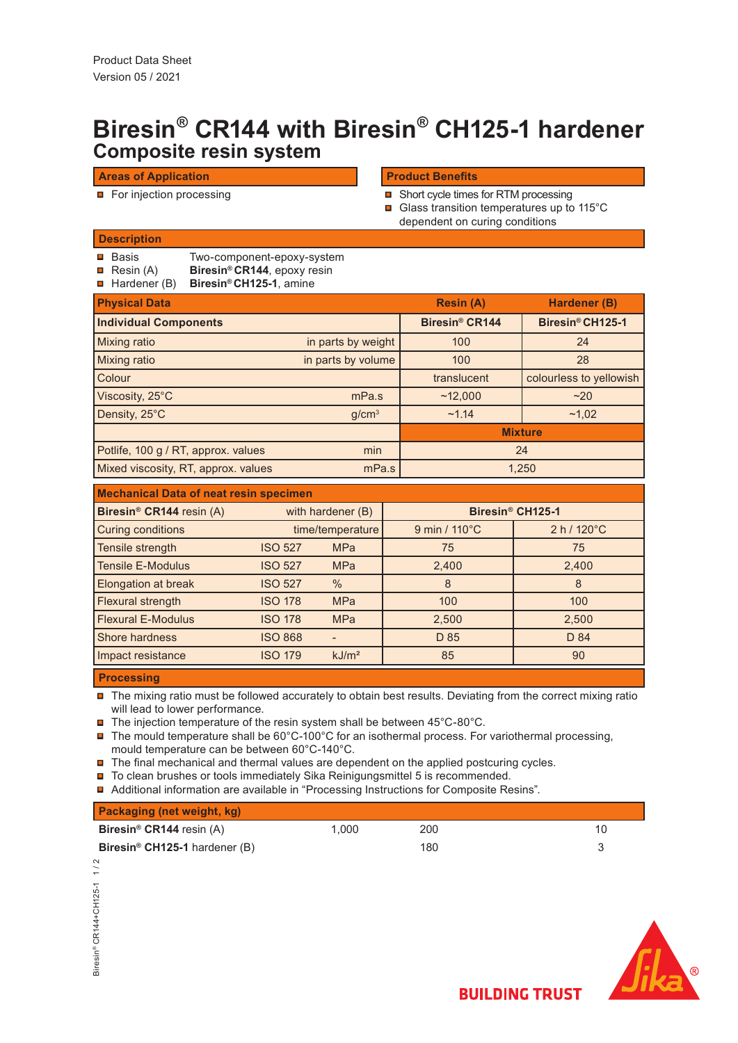# **Composite resin system Biresin® CR144 with Biresin® CH125-1 hardener**

## **Areas of Application**

For injection processing

# **Product Benefits**

- Short cycle times for RTM processing Glass transition temperatures up to 115°C
	- dependent on curing conditions

## **Description**

- $\blacksquare$  Basis Two-component-epoxy-system
- **R**esin (A) **Biresin® CR144**, epoxy resin
- Hardener (B) **Biresin® CH125-1**, amine

| <b>Physical Data</b>                |                    | <b>Resin (A)</b>           | Hardener (B)            |
|-------------------------------------|--------------------|----------------------------|-------------------------|
| <b>Individual Components</b>        |                    | Biresin <sup>®</sup> CR144 | Biresin® CH125-1        |
| Mixing ratio                        | in parts by weight | 100                        | 24                      |
| Mixing ratio                        | in parts by volume | 100                        | 28                      |
| Colour                              |                    | translucent                | colourless to yellowish |
| Viscosity, 25°C                     | mPa.s              | ~12,000                    | ~20                     |
| Density, 25°C                       | g/cm <sup>3</sup>  | ~1.14                      | ~1,02                   |
|                                     |                    | <b>Mixture</b>             |                         |
| Potlife, 100 g / RT, approx. values | min                | 24                         |                         |
| Mixed viscosity, RT, approx. values | mPa.s              | 1,250                      |                         |

| <b>Mechanical Data of neat resin specimen</b> |                |                   |                              |                       |  |  |
|-----------------------------------------------|----------------|-------------------|------------------------------|-----------------------|--|--|
| Biresin <sup>®</sup> CR144 resin (A)          |                | with hardener (B) | Biresin <sup>®</sup> CH125-1 |                       |  |  |
| <b>Curing conditions</b>                      |                | time/temperature  | 9 min / 110°C                | $2 h / 120^{\circ}$ C |  |  |
| Tensile strength                              | <b>ISO 527</b> | <b>MPa</b>        | 75                           | 75                    |  |  |
| <b>Tensile E-Modulus</b>                      | <b>ISO 527</b> | <b>MPa</b>        | 2,400                        | 2,400                 |  |  |
| <b>Elongation at break</b>                    | <b>ISO 527</b> | $\frac{0}{0}$     | 8                            | 8                     |  |  |
| Flexural strength                             | <b>ISO 178</b> | <b>MPa</b>        | 100                          | 100                   |  |  |
| <b>Flexural E-Modulus</b>                     | <b>ISO 178</b> | <b>MPa</b>        | 2,500                        | 2,500                 |  |  |
| Shore hardness                                | <b>ISO 868</b> |                   | D 85                         | D 84                  |  |  |
| Impact resistance                             | <b>ISO 179</b> | kJ/m <sup>2</sup> | 85                           | 90                    |  |  |
|                                               |                |                   |                              |                       |  |  |

## **Processing**

■ The mixing ratio must be followed accurately to obtain best results. Deviating from the correct mixing ratio will lead to lower performance.

 $\blacksquare$ The injection temperature of the resin system shall be between 45°C-80°C.

 $\blacksquare$  The mould temperature shall be 60°C-100°C for an isothermal process. For variothermal processing, mould temperature can be between 60°C-140°C.

 $\blacksquare$  The final mechanical and thermal values are dependent on the applied postcuring cycles.

 $\blacksquare$  To clean brushes or tools immediately Sika Reinigungsmittel 5 is recommended.

Additional information are available in "Processing Instructions for Composite Resins".

| <b>Packaging (net weight, kg)</b>               |       |     |  |
|-------------------------------------------------|-------|-----|--|
| <b>Biresin<sup>®</sup> CR144</b> resin $(A)$    | 1.000 | 200 |  |
| <b>Biresin<sup>®</sup> CH125-1</b> hardener (B) |       | 180 |  |





**BUILDING TRUST**